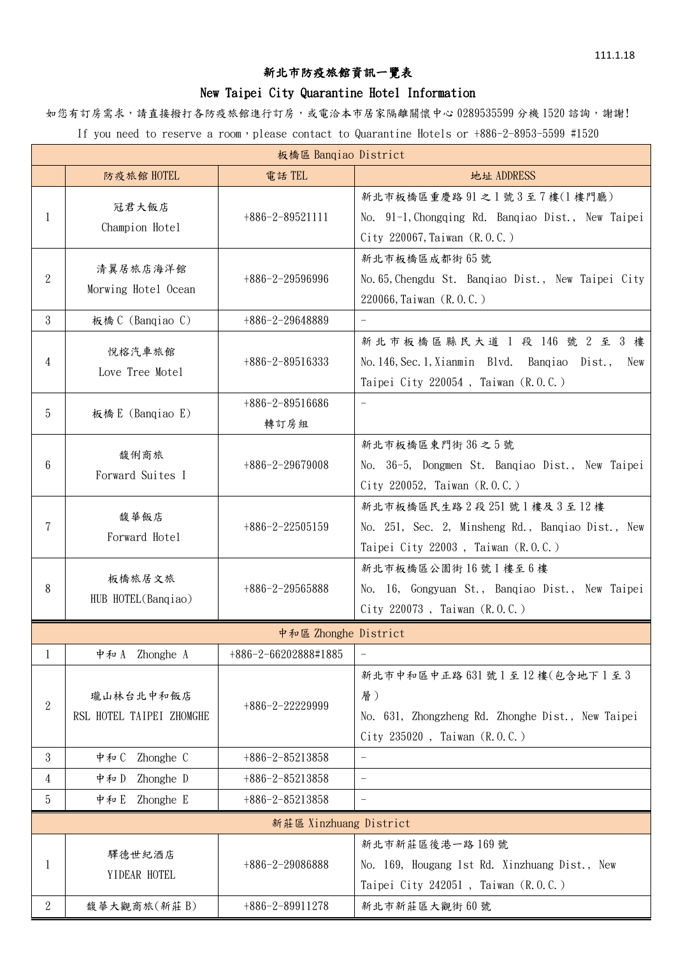## 新北市防疫旅館資訊一覽表

## New Taipei City Quarantine Hotel Information

如您有訂房需求,請直接撥打各防疫旅館進行訂房,或電洽本市居家隔離關懷中心 0289535599 分機 1520 諮詢,謝謝! If you need to reserve a room, please contact to Quarantine Hotels or +886-2-8953-5599 #1520

| 板橋區 Banqiao District   |                                       |                           |                                                                                                                             |  |  |  |
|------------------------|---------------------------------------|---------------------------|-----------------------------------------------------------------------------------------------------------------------------|--|--|--|
|                        | 防疫旅館 HOTEL                            | 電話TEL                     | 地址 ADDRESS                                                                                                                  |  |  |  |
| 1                      | 冠君大飯店<br>Champion Hotel               | $+886-2-89521111$         | 新北市板橋區重慶路 91 之1號3至7樓(1樓門廳)<br>No. 91-1, Chongqing Rd. Banqiao Dist., New Taipei<br>City 220067, Taiwan $(R, 0, C)$          |  |  |  |
| $\overline{2}$         | 清翼居旅店海洋館<br>Morwing Hotel Ocean       | $+886-2-29596996$         | 新北市板橋區成都街 65號<br>No. 65, Chengdu St. Banqiao Dist., New Taipei City<br>220066, Taiwan (R.O.C.)                              |  |  |  |
| 3                      | 板橋 C (Banqiao C)                      | $+886-2-29648889$         | $\overline{\phantom{a}}$                                                                                                    |  |  |  |
| 4                      | 悅榕汽車旅館<br>Love Tree Motel             | $+886-2-89516333$         | 新北市板橋區縣民大道 1 段 146 號 2 至 3 樓<br>No. 146, Sec. 1, Xianmin Blvd. Banqiao Dist.,<br>New<br>Taipei City 220054, Taiwan (R.O.C.) |  |  |  |
| 5                      | 板橋 E (Banqiao E)                      | $+886-2-89516686$<br>轉訂房組 | $\overline{\phantom{a}}$                                                                                                    |  |  |  |
| 6                      | 馥俐商旅<br>Forward Suites I              | $+886-2-29679008$         | 新北市板橋區東門街36之5號<br>No. 36-5, Dongmen St. Banqiao Dist., New Taipei<br>City 220052, Taiwan (R.O.C.)                           |  |  |  |
| 7                      | 馥華飯店<br>Forward Hotel                 | $+886-2-22505159$         | 新北市板橋區民生路2段251號1樓及3至12樓<br>No. 251, Sec. 2, Minsheng Rd., Banqiao Dist., New<br>Taipei City 22003, Taiwan (R.O.C.)          |  |  |  |
| 8                      | 板橋旅居文旅<br>HUB HOTEL(Bangiao)          | $+886-2-29565888$         | 新北市板橋區公園街16號1樓至6樓<br>No. 16, Gongyuan St., Banqiao Dist., New Taipei<br>City 220073, Taiwan (R.O.C.)                        |  |  |  |
| 中和區 Zhonghe District   |                                       |                           |                                                                                                                             |  |  |  |
| I                      | Zhonghe A<br>中和 A                     | +886-2-66202888#1885      | $\overline{\phantom{a}}$                                                                                                    |  |  |  |
| $\boldsymbol{2}$       | 瓏山林台北中和飯店<br>RSL HOTEL TAIPEI ZHOMGHE | $+886-2-22229999$         | 新北市中和區中正路 631號1至12樓(包含地下1至3<br>層)<br>No. 631, Zhongzheng Rd. Zhonghe Dist., New Taipei<br>City 235020, Taiwan (R.O.C.)      |  |  |  |
| 3                      | 中和C<br>Zhonghe C                      | $+886-2-85213858$         | $\hspace{0.1in} - \hspace{0.1in}$                                                                                           |  |  |  |
| 4                      | Zhonghe D<br>中和D                      | $+886-2-85213858$         | $\equiv$                                                                                                                    |  |  |  |
| 5                      | Zhonghe E<br>中和E                      | $+886-2-85213858$         |                                                                                                                             |  |  |  |
| 新莊區 Xinzhuang District |                                       |                           |                                                                                                                             |  |  |  |
| 1                      | 驛德世紀酒店<br>YIDEAR HOTEL                | $+886-2-29086888$         | 新北市新莊區後港一路169號<br>No. 169, Hougang 1st Rd. Xinzhuang Dist., New<br>Taipei City 242051, Taiwan $(R, 0, C)$                   |  |  |  |
| 2                      | 馥華大觀商旅(新莊 B)                          | $+886-2-89911278$         | 新北市新莊區大觀街60號                                                                                                                |  |  |  |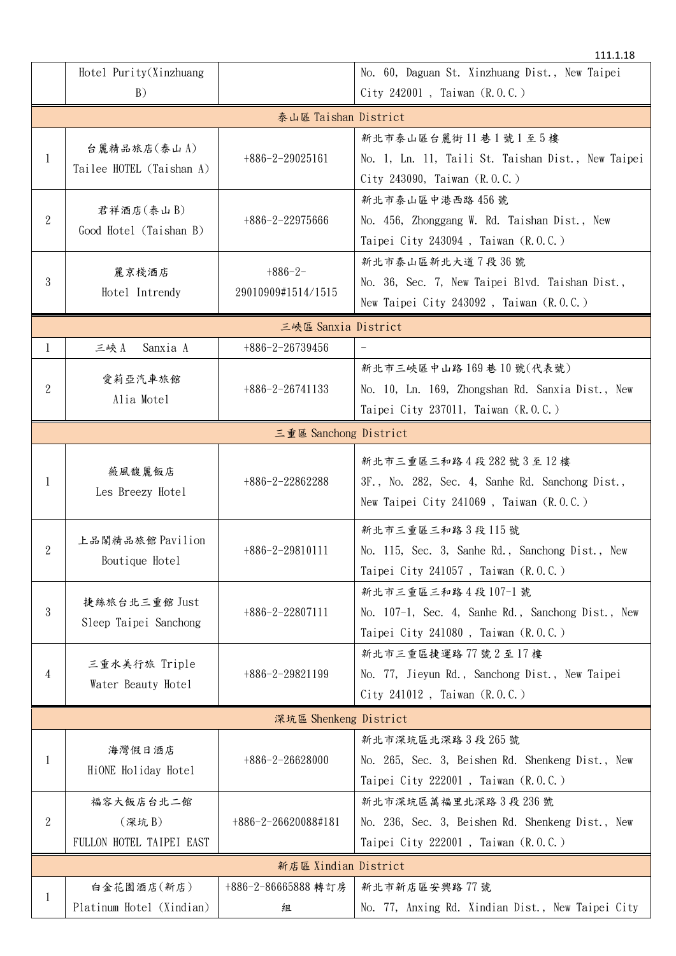|                      |                                         |                                 | 111.1.18                                           |  |  |  |  |
|----------------------|-----------------------------------------|---------------------------------|----------------------------------------------------|--|--|--|--|
|                      | Hotel Purity(Xinzhuang                  |                                 | No. 60, Daguan St. Xinzhuang Dist., New Taipei     |  |  |  |  |
|                      | B)                                      |                                 | City 242001, Taiwan (R.O.C.)                       |  |  |  |  |
|                      | 泰山區 Taishan District                    |                                 |                                                    |  |  |  |  |
|                      |                                         |                                 | 新北市泰山區台麗街11巷1號1至5樓                                 |  |  |  |  |
| $\mathbf{1}$         | 台麗精品旅店(泰山A)<br>Tailee HOTEL (Taishan A) | $+886-2-29025161$               | No. 1, Ln. 11, Taili St. Taishan Dist., New Taipei |  |  |  |  |
|                      |                                         |                                 | City 243090, Taiwan (R.O.C.)                       |  |  |  |  |
|                      | 君祥酒店(泰山B)<br>Good Hotel (Taishan B)     | $+886-2-22975666$               | 新北市泰山區中港西路 456號                                    |  |  |  |  |
| $\overline{2}$       |                                         |                                 | No. 456, Zhonggang W. Rd. Taishan Dist., New       |  |  |  |  |
|                      |                                         |                                 | Taipei City 243094, Taiwan (R.O.C.)                |  |  |  |  |
|                      |                                         | 新北市泰山區新北大道7段36號                 |                                                    |  |  |  |  |
| 3                    | 麗京棧酒店                                   | $+886-2-$<br>29010909#1514/1515 | No. 36, Sec. 7, New Taipei Blvd. Taishan Dist.,    |  |  |  |  |
|                      | Hotel Intrendy                          |                                 | New Taipei City 243092, Taiwan $(R, 0, C)$         |  |  |  |  |
| 三峽區 Sanxia District  |                                         |                                 |                                                    |  |  |  |  |
| $\mathbf{1}$         | 三峽A<br>Sanxia A                         | $+886-2-26739456$               |                                                    |  |  |  |  |
|                      |                                         |                                 | 新北市三峽區中山路169巷10號(代表號)                              |  |  |  |  |
| $\overline{2}$       | 愛莉亞汽車旅館                                 | $+886-2-26741133$               | No. 10, Ln. 169, Zhongshan Rd. Sanxia Dist., New   |  |  |  |  |
|                      | Alia Motel                              |                                 | Taipei City 237011, Taiwan (R.O.C.)                |  |  |  |  |
|                      | 三重區 Sanchong District                   |                                 |                                                    |  |  |  |  |
|                      |                                         |                                 |                                                    |  |  |  |  |
|                      | 薇風馥麗飯店<br>Les Breezy Hotel              | $+886-2-22862288$               | 新北市三重區三和路4段282號3至12樓                               |  |  |  |  |
| 1                    |                                         |                                 | 3F., No. 282, Sec. 4, Sanhe Rd. Sanchong Dist.,    |  |  |  |  |
|                      |                                         |                                 | New Taipei City 241069, Taiwan (R.O.C.)            |  |  |  |  |
|                      | 上品閣精品旅館 Pavilion<br>Boutique Hotel      | +886-2-29810111                 | 新北市三重區三和路3段115號                                    |  |  |  |  |
| $\overline{2}$       |                                         |                                 | No. 115, Sec. 3, Sanhe Rd., Sanchong Dist., New    |  |  |  |  |
|                      |                                         |                                 | Taipei City 241057, Taiwan (R.O.C.)                |  |  |  |  |
|                      | 捷絲旅台北三重館 Just<br>Sleep Taipei Sanchong  | $+886-2-22807111$               | 新北市三重區三和路4段107-1號                                  |  |  |  |  |
| 3                    |                                         |                                 | No. 107-1, Sec. 4, Sanhe Rd., Sanchong Dist., New  |  |  |  |  |
|                      |                                         |                                 | Taipei City 241080, Taiwan (R.O.C.)                |  |  |  |  |
|                      | 三重水美行旅 Triple<br>Water Beauty Hotel     | $+886-2-29821199$               | 新北市三重區捷運路77號2至17樓                                  |  |  |  |  |
| 4                    |                                         |                                 | No. 77, Jieyun Rd., Sanchong Dist., New Taipei     |  |  |  |  |
|                      |                                         |                                 | City 241012, Taiwan $(R, 0, C)$                    |  |  |  |  |
|                      | 深坑區 Shenkeng District                   |                                 |                                                    |  |  |  |  |
|                      |                                         |                                 | 新北市深坑區北深路3段265號                                    |  |  |  |  |
| 1                    | 海灣假日酒店<br>$+886-2-26628000$             |                                 | No. 265, Sec. 3, Beishen Rd. Shenkeng Dist., New   |  |  |  |  |
|                      | HiONE Holiday Hotel                     |                                 | Taipei City 222001, Taiwan (R.O.C.)                |  |  |  |  |
|                      | 福容大飯店台北二館                               |                                 | 新北市深坑區萬福里北深路3段236號                                 |  |  |  |  |
| $\boldsymbol{2}$     | (深坑 B)                                  | +886-2-26620088#181             | No. 236, Sec. 3, Beishen Rd. Shenkeng Dist., New   |  |  |  |  |
|                      | FULLON HOTEL TAIPEI EAST                |                                 | Taipei City 222001, Taiwan (R.O.C.)                |  |  |  |  |
| 新店區 Xindian District |                                         |                                 |                                                    |  |  |  |  |
|                      | 白金花園酒店(新店)                              | +886-2-86665888 轉訂房             | 新北市新店區安興路77號                                       |  |  |  |  |
| 1                    | Platinum Hotel (Xindian)                | 組                               | No. 77, Anxing Rd. Xindian Dist., New Taipei City  |  |  |  |  |
|                      |                                         |                                 |                                                    |  |  |  |  |